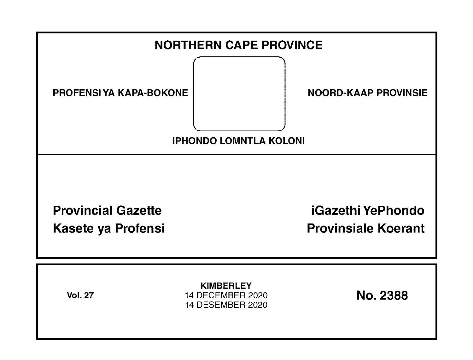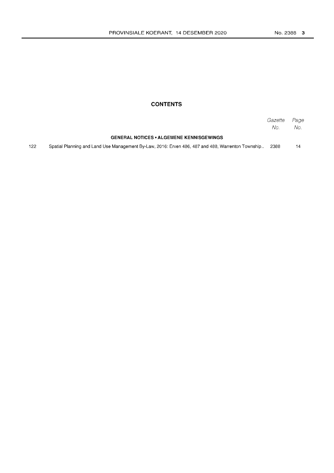# **CONTENTS**

|     |                                                                                                   | Gazette Page<br>No. | No. |
|-----|---------------------------------------------------------------------------------------------------|---------------------|-----|
|     | <b>GENERAL NOTICES • ALGEMENE KENNISGEWINGS</b>                                                   |                     |     |
| 122 | Spatial Planning and Land Use Management By-Law, 2016: Erven 486, 487 and 488, Warrenton Township | 2388                | 14  |